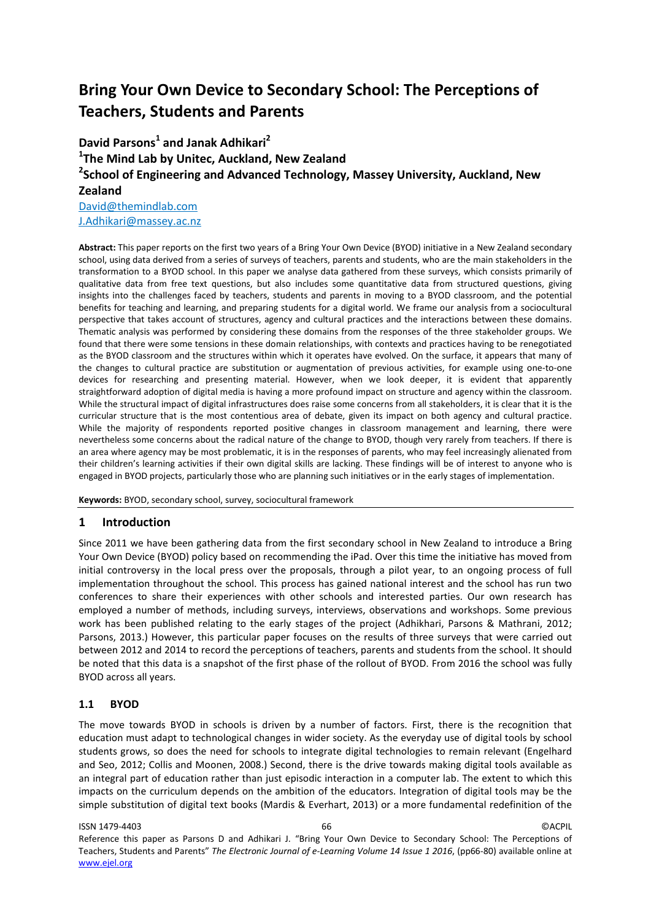# **Bring Your Own Device to Secondary School: The Perceptions of Teachers, Students and Parents**

**David Parsons<sup>1</sup> and Janak Adhikari2 1 The Mind Lab by Unitec, Auckland, New Zealand 2 School of Engineering and Advanced Technology, Massey University, Auckland, New Zealand** [David@themindlab.com](mailto:David@themindlab.com) [J.Adhikari@massey.ac.nz](mailto:J.Adhikari@massey.ac.nz)

**Abstract:** This paper reports on the first two years of a Bring Your Own Device (BYOD) initiative in a New Zealand secondary school, using data derived from a series of surveys of teachers, parents and students, who are the main stakeholders in the transformation to a BYOD school. In this paper we analyse data gathered from these surveys, which consists primarily of qualitative data from free text questions, but also includes some quantitative data from structured questions, giving insights into the challenges faced by teachers, students and parents in moving to a BYOD classroom, and the potential benefits for teaching and learning, and preparing students for a digital world. We frame our analysis from a sociocultural perspective that takes account of structures, agency and cultural practices and the interactions between these domains. Thematic analysis was performed by considering these domains from the responses of the three stakeholder groups. We found that there were some tensions in these domain relationships, with contexts and practices having to be renegotiated as the BYOD classroom and the structures within which it operates have evolved. On the surface, it appears that many of the changes to cultural practice are substitution or augmentation of previous activities, for example using one-to-one devices for researching and presenting material. However, when we look deeper, it is evident that apparently straightforward adoption of digital media is having a more profound impact on structure and agency within the classroom. While the structural impact of digital infrastructures does raise some concerns from all stakeholders, it is clear that it is the curricular structure that is the most contentious area of debate, given its impact on both agency and cultural practice. While the majority of respondents reported positive changes in classroom management and learning, there were nevertheless some concerns about the radical nature of the change to BYOD, though very rarely from teachers. If there is an area where agency may be most problematic, it is in the responses of parents, who may feel increasingly alienated from their children's learning activities if their own digital skills are lacking. These findings will be of interest to anyone who is engaged in BYOD projects, particularly those who are planning such initiatives or in the early stages of implementation.

**Keywords:** BYOD, secondary school, survey, sociocultural framework

# **1 Introduction**

Since 2011 we have been gathering data from the first secondary school in New Zealand to introduce a Bring Your Own Device (BYOD) policy based on recommending the iPad. Over this time the initiative has moved from initial controversy in the local press over the proposals, through a pilot year, to an ongoing process of full implementation throughout the school. This process has gained national interest and the school has run two conferences to share their experiences with other schools and interested parties. Our own research has employed a number of methods, including surveys, interviews, observations and workshops. Some previous work has been published relating to the early stages of the project (Adhikhari, Parsons & Mathrani, 2012; Parsons, 2013.) However, this particular paper focuses on the results of three surveys that were carried out between 2012 and 2014 to record the perceptions of teachers, parents and students from the school. It should be noted that this data is a snapshot of the first phase of the rollout of BYOD. From 2016 the school was fully BYOD across all years.

## **1.1 BYOD**

The move towards BYOD in schools is driven by a number of factors. First, there is the recognition that education must adapt to technological changes in wider society. As the everyday use of digital tools by school students grows, so does the need for schools to integrate digital technologies to remain relevant (Engelhard and Seo, 2012; Collis and Moonen, 2008.) Second, there is the drive towards making digital tools available as an integral part of education rather than just episodic interaction in a computer lab. The extent to which this impacts on the curriculum depends on the ambition of the educators. Integration of digital tools may be the simple substitution of digital text books (Mardis & Everhart, 2013) or a more fundamental redefinition of the

ISSN 1479-4403 66 ©ACPIL Reference this paper as Parsons D and Adhikari J. "Bring Your Own Device to Secondary School: The Perceptions of Teachers, Students and Parents" *The Electronic Journal of e-Learning Volume 14 Issue 1 2016*, (pp66-80) available online at www.ejel.org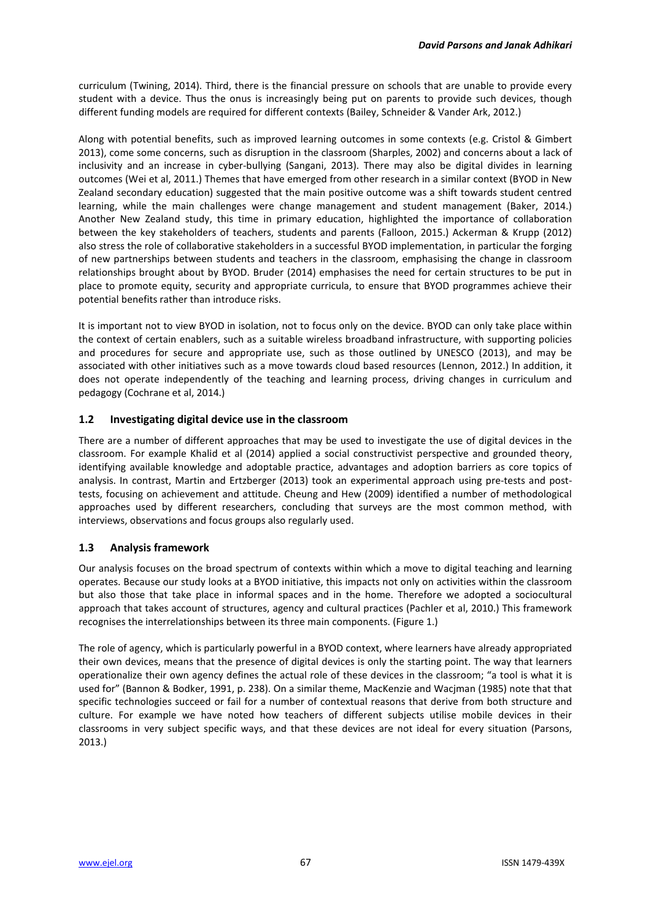curriculum (Twining, 2014). Third, there is the financial pressure on schools that are unable to provide every student with a device. Thus the onus is increasingly being put on parents to provide such devices, though different funding models are required for different contexts (Bailey, Schneider & Vander Ark, 2012.)

Along with potential benefits, such as improved learning outcomes in some contexts (e.g. Cristol & Gimbert 2013), come some concerns, such as disruption in the classroom (Sharples, 2002) and concerns about a lack of inclusivity and an increase in cyber-bullying (Sangani, 2013). There may also be digital divides in learning outcomes (Wei et al, 2011.) Themes that have emerged from other research in a similar context (BYOD in New Zealand secondary education) suggested that the main positive outcome was a shift towards student centred learning, while the main challenges were change management and student management (Baker, 2014.) Another New Zealand study, this time in primary education, highlighted the importance of collaboration between the key stakeholders of teachers, students and parents (Falloon, 2015.) Ackerman & Krupp (2012) also stress the role of collaborative stakeholders in a successful BYOD implementation, in particular the forging of new partnerships between students and teachers in the classroom, emphasising the change in classroom relationships brought about by BYOD. Bruder (2014) emphasises the need for certain structures to be put in place to promote equity, security and appropriate curricula, to ensure that BYOD programmes achieve their potential benefits rather than introduce risks.

It is important not to view BYOD in isolation, not to focus only on the device. BYOD can only take place within the context of certain enablers, such as a suitable wireless broadband infrastructure, with supporting policies and procedures for secure and appropriate use, such as those outlined by UNESCO (2013), and may be associated with other initiatives such as a move towards cloud based resources (Lennon, 2012.) In addition, it does not operate independently of the teaching and learning process, driving changes in curriculum and pedagogy (Cochrane et al, 2014.)

# **1.2 Investigating digital device use in the classroom**

There are a number of different approaches that may be used to investigate the use of digital devices in the classroom. For example Khalid et al (2014) applied a social constructivist perspective and grounded theory, identifying available knowledge and adoptable practice, advantages and adoption barriers as core topics of analysis. In contrast, Martin and Ertzberger (2013) took an experimental approach using pre-tests and posttests, focusing on achievement and attitude. Cheung and Hew (2009) identified a number of methodological approaches used by different researchers, concluding that surveys are the most common method, with interviews, observations and focus groups also regularly used.

# **1.3 Analysis framework**

Our analysis focuses on the broad spectrum of contexts within which a move to digital teaching and learning operates. Because our study looks at a BYOD initiative, this impacts not only on activities within the classroom but also those that take place in informal spaces and in the home. Therefore we adopted a sociocultural approach that takes account of structures, agency and cultural practices (Pachler et al, 2010.) This framework recognises the interrelationships between its three main components. (Figure 1.)

The role of agency, which is particularly powerful in a BYOD context, where learners have already appropriated their own devices, means that the presence of digital devices is only the starting point. The way that learners operationalize their own agency defines the actual role of these devices in the classroom; "a tool is what it is used for" (Bannon & Bodker, 1991, p. 238). On a similar theme, MacKenzie and Wacjman (1985) note that that specific technologies succeed or fail for a number of contextual reasons that derive from both structure and culture. For example we have noted how teachers of different subjects utilise mobile devices in their classrooms in very subject specific ways, and that these devices are not ideal for every situation (Parsons, 2013.)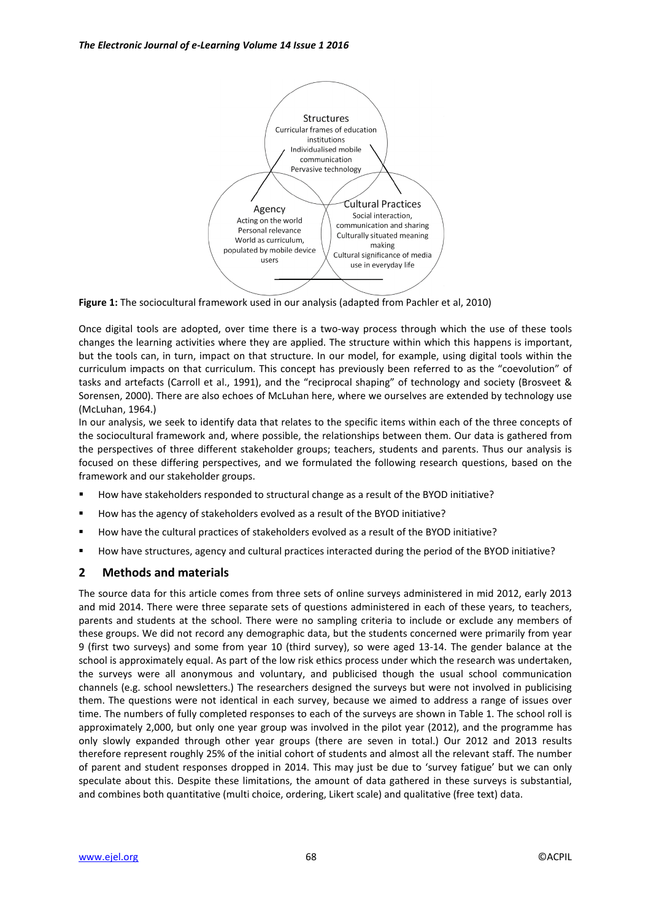

**Figure 1:** The sociocultural framework used in our analysis (adapted from Pachler et al, 2010)

Once digital tools are adopted, over time there is a two-way process through which the use of these tools changes the learning activities where they are applied. The structure within which this happens is important, but the tools can, in turn, impact on that structure. In our model, for example, using digital tools within the curriculum impacts on that curriculum. This concept has previously been referred to as the "coevolution" of tasks and artefacts (Carroll et al., 1991), and the "reciprocal shaping" of technology and society (Brosveet & Sorensen, 2000). There are also echoes of McLuhan here, where we ourselves are extended by technology use (McLuhan, 1964.)

In our analysis, we seek to identify data that relates to the specific items within each of the three concepts of the sociocultural framework and, where possible, the relationships between them. Our data is gathered from the perspectives of three different stakeholder groups; teachers, students and parents. Thus our analysis is focused on these differing perspectives, and we formulated the following research questions, based on the framework and our stakeholder groups.

- How have stakeholders responded to structural change as a result of the BYOD initiative?
- How has the agency of stakeholders evolved as a result of the BYOD initiative?
- How have the cultural practices of stakeholders evolved as a result of the BYOD initiative?
- How have structures, agency and cultural practices interacted during the period of the BYOD initiative?

# **2 Methods and materials**

The source data for this article comes from three sets of online surveys administered in mid 2012, early 2013 and mid 2014. There were three separate sets of questions administered in each of these years, to teachers, parents and students at the school. There were no sampling criteria to include or exclude any members of these groups. We did not record any demographic data, but the students concerned were primarily from year 9 (first two surveys) and some from year 10 (third survey), so were aged 13-14. The gender balance at the school is approximately equal. As part of the low risk ethics process under which the research was undertaken, the surveys were all anonymous and voluntary, and publicised though the usual school communication channels (e.g. school newsletters.) The researchers designed the surveys but were not involved in publicising them. The questions were not identical in each survey, because we aimed to address a range of issues over time. The numbers of fully completed responses to each of the surveys are shown in Table 1. The school roll is approximately 2,000, but only one year group was involved in the pilot year (2012), and the programme has only slowly expanded through other year groups (there are seven in total.) Our 2012 and 2013 results therefore represent roughly 25% of the initial cohort of students and almost all the relevant staff. The number of parent and student responses dropped in 2014. This may just be due to 'survey fatigue' but we can only speculate about this. Despite these limitations, the amount of data gathered in these surveys is substantial, and combines both quantitative (multi choice, ordering, Likert scale) and qualitative (free text) data.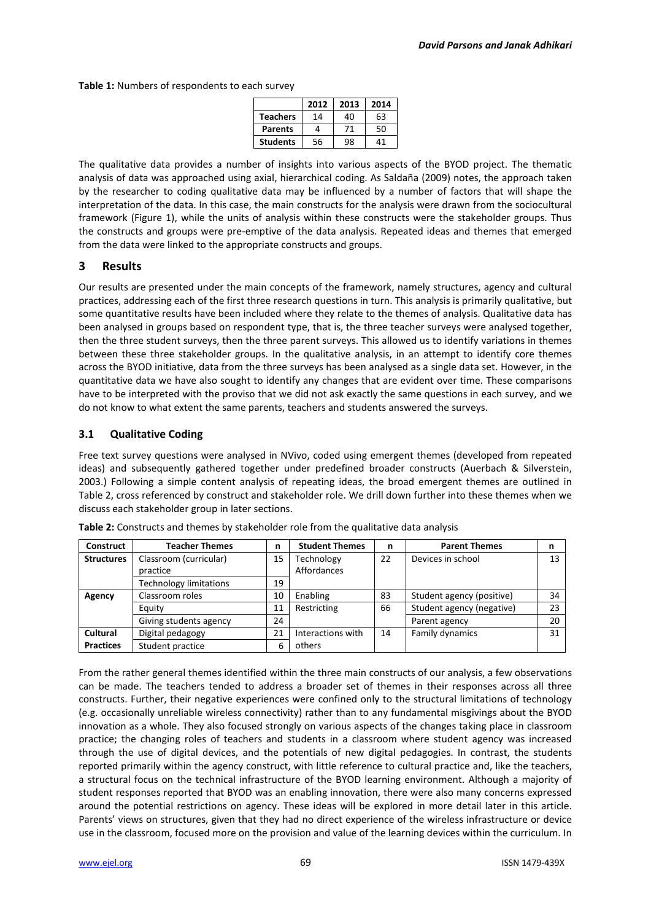**Table 1:** Numbers of respondents to each survey

|                 | 2012 | 2013 | 2014 |
|-----------------|------|------|------|
| <b>Teachers</b> | 14   | 40   | 63   |
| <b>Parents</b>  |      | 71   | 50   |
| <b>Students</b> | 56   | 98   | 41   |

The qualitative data provides a number of insights into various aspects of the BYOD project. The thematic analysis of data was approached using axial, hierarchical coding. As Saldaña (2009) notes, the approach taken by the researcher to coding qualitative data may be influenced by a number of factors that will shape the interpretation of the data. In this case, the main constructs for the analysis were drawn from the sociocultural framework (Figure 1), while the units of analysis within these constructs were the stakeholder groups. Thus the constructs and groups were pre-emptive of the data analysis. Repeated ideas and themes that emerged from the data were linked to the appropriate constructs and groups.

# **3 Results**

Our results are presented under the main concepts of the framework, namely structures, agency and cultural practices, addressing each of the first three research questions in turn. This analysis is primarily qualitative, but some quantitative results have been included where they relate to the themes of analysis. Qualitative data has been analysed in groups based on respondent type, that is, the three teacher surveys were analysed together, then the three student surveys, then the three parent surveys. This allowed us to identify variations in themes between these three stakeholder groups. In the qualitative analysis, in an attempt to identify core themes across the BYOD initiative, data from the three surveys has been analysed as a single data set. However, in the quantitative data we have also sought to identify any changes that are evident over time. These comparisons have to be interpreted with the proviso that we did not ask exactly the same questions in each survey, and we do not know to what extent the same parents, teachers and students answered the surveys.

# **3.1 Qualitative Coding**

Free text survey questions were analysed in NVivo, coded using emergent themes (developed from repeated ideas) and subsequently gathered together under predefined broader constructs (Auerbach & Silverstein, 2003.) Following a simple content analysis of repeating ideas, the broad emergent themes are outlined in Table 2, cross referenced by construct and stakeholder role. We drill down further into these themes when we discuss each stakeholder group in later sections.

| Construct         | <b>Teacher Themes</b>              | n  | <b>Student Themes</b>     | n  | <b>Parent Themes</b>      | n  |
|-------------------|------------------------------------|----|---------------------------|----|---------------------------|----|
| <b>Structures</b> | Classroom (curricular)<br>practice | 15 | Technology<br>Affordances | 22 | Devices in school         | 13 |
|                   | <b>Technology limitations</b>      | 19 |                           |    |                           |    |
| Agency            | Classroom roles                    | 10 | Enabling                  | 83 | Student agency (positive) | 34 |
|                   | Equity                             | 11 | Restricting               | 66 | Student agency (negative) | 23 |
|                   | Giving students agency             | 24 |                           |    | Parent agency             | 20 |
| Cultural          | Digital pedagogy                   | 21 | Interactions with         | 14 | Family dynamics           | 31 |
| <b>Practices</b>  | Student practice                   | 6  | others                    |    |                           |    |

**Table 2:** Constructs and themes by stakeholder role from the qualitative data analysis

From the rather general themes identified within the three main constructs of our analysis, a few observations can be made. The teachers tended to address a broader set of themes in their responses across all three constructs. Further, their negative experiences were confined only to the structural limitations of technology (e.g. occasionally unreliable wireless connectivity) rather than to any fundamental misgivings about the BYOD innovation as a whole. They also focused strongly on various aspects of the changes taking place in classroom practice; the changing roles of teachers and students in a classroom where student agency was increased through the use of digital devices, and the potentials of new digital pedagogies. In contrast, the students reported primarily within the agency construct, with little reference to cultural practice and, like the teachers, a structural focus on the technical infrastructure of the BYOD learning environment. Although a majority of student responses reported that BYOD was an enabling innovation, there were also many concerns expressed around the potential restrictions on agency. These ideas will be explored in more detail later in this article. Parents' views on structures, given that they had no direct experience of the wireless infrastructure or device use in the classroom, focused more on the provision and value of the learning devices within the curriculum. In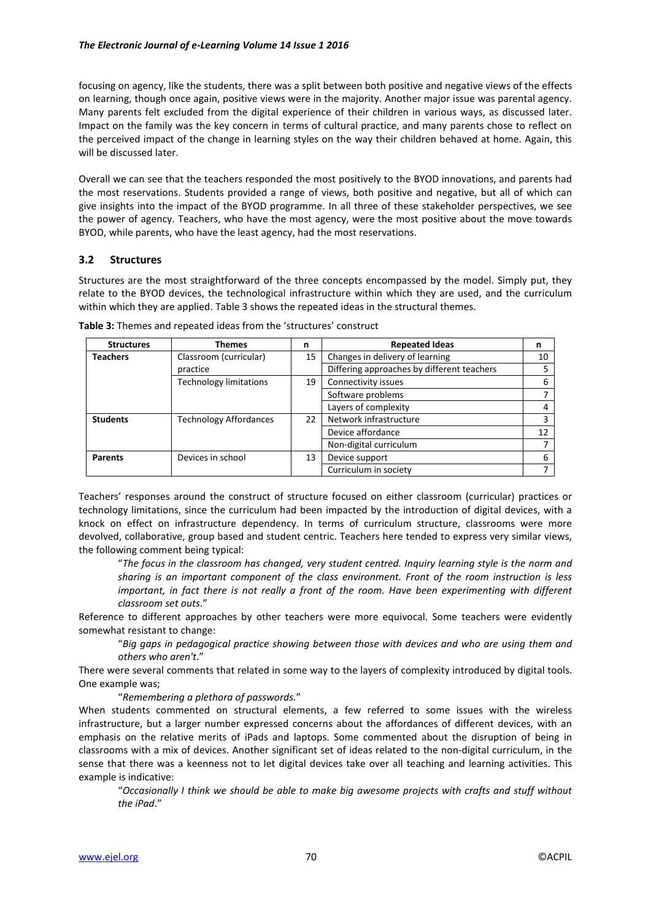focusing on agency, like the students, there was a split between both positive and negative views of the effects on learning, though once again, positive views were in the majority. Another major issue was parental agency. Many parents felt excluded from the digital experience of their children in various ways, as discussed later. Impact on the family was the key concern in terms of cultural practice, and many parents chose to reflect on the perceived impact of the change in learning styles on the way their children behaved at home. Again, this will be discussed later.

Overall we can see that the teachers responded the most positively to the BYOD innovations, and parents had the most reservations. Students provided a range of views, both positive and negative, but all of which can give insights into the impact of the BYOD programme. In all three of these stakeholder perspectives, we see the power of agency. Teachers, who have the most agency, were the most positive about the move towards BYOD, while parents, who have the least agency, had the most reservations.

## **3.2 Structures**

Structures are the most straightforward of the three concepts encompassed by the model. Simply put, they relate to the BYOD devices, the technological infrastructure within which they are used, and the curriculum within which they are applied. Table 3 shows the repeated ideas in the structural themes.

| <b>Structures</b> | <b>Themes</b>                 | n  | <b>Repeated Ideas</b>                      | n  |
|-------------------|-------------------------------|----|--------------------------------------------|----|
| <b>Teachers</b>   | Classroom (curricular)        | 15 | Changes in delivery of learning            | 10 |
|                   | practice                      |    | Differing approaches by different teachers | 5  |
|                   | <b>Technology limitations</b> | 19 | Connectivity issues                        | 6  |
|                   |                               |    | Software problems                          | 7  |
|                   |                               |    | Layers of complexity                       | 4  |
| <b>Students</b>   | <b>Technology Affordances</b> | 22 | Network infrastructure                     | 3  |
|                   |                               |    | Device affordance                          | 12 |
|                   |                               |    | Non-digital curriculum                     | 7  |
| <b>Parents</b>    | Devices in school             | 13 | Device support                             | 6  |
|                   |                               |    | Curriculum in society                      |    |

**Table 3:** Themes and repeated ideas from the 'structures' construct

Teachers' responses around the construct of structure focused on either classroom (curricular) practices or technology limitations, since the curriculum had been impacted by the introduction of digital devices, with a knock on effect on infrastructure dependency. In terms of curriculum structure, classrooms were more devolved, collaborative, group based and student centric. Teachers here tended to express very similar views, the following comment being typical:

"*The focus in the classroom has changed, very student centred. Inquiry learning style is the norm and sharing is an important component of the class environment. Front of the room instruction is less important, in fact there is not really a front of the room. Have been experimenting with different classroom set outs*."

Reference to different approaches by other teachers were more equivocal. Some teachers were evidently somewhat resistant to change:

"*Big gaps in pedagogical practice showing between those with devices and who are using them and others who aren't*."

There were several comments that related in some way to the layers of complexity introduced by digital tools. One example was;

"*Remembering a plethora of passwords.*"

When students commented on structural elements, a few referred to some issues with the wireless infrastructure, but a larger number expressed concerns about the affordances of different devices, with an emphasis on the relative merits of iPads and laptops. Some commented about the disruption of being in classrooms with a mix of devices. Another significant set of ideas related to the non-digital curriculum, in the sense that there was a keenness not to let digital devices take over all teaching and learning activities. This example is indicative:

"*Occasionally I think we should be able to make big awesome projects with crafts and stuff without the iPad*."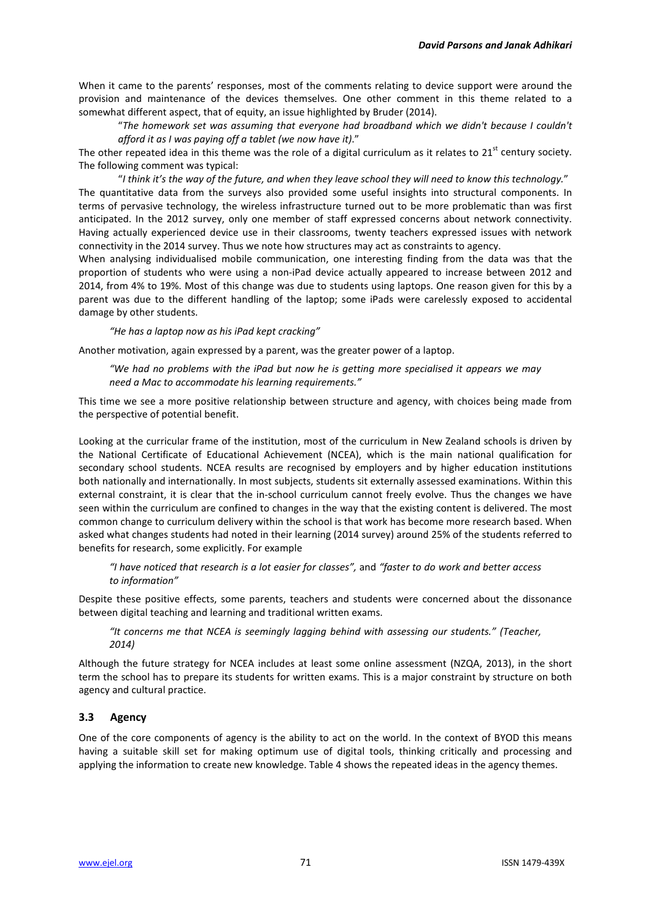When it came to the parents' responses, most of the comments relating to device support were around the provision and maintenance of the devices themselves. One other comment in this theme related to a somewhat different aspect, that of equity, an issue highlighted by Bruder (2014).

"*The homework set was assuming that everyone had broadband which we didn't because I couldn't afford it as I was paying off a tablet (we now have it)*."

The other repeated idea in this theme was the role of a digital curriculum as it relates to  $21^{st}$  century society. The following comment was typical:

"*I think it's the way of the future, and when they leave school they will need to know this technology.*" The quantitative data from the surveys also provided some useful insights into structural components. In terms of pervasive technology, the wireless infrastructure turned out to be more problematic than was first anticipated. In the 2012 survey, only one member of staff expressed concerns about network connectivity. Having actually experienced device use in their classrooms, twenty teachers expressed issues with network connectivity in the 2014 survey. Thus we note how structures may act as constraints to agency.

When analysing individualised mobile communication, one interesting finding from the data was that the proportion of students who were using a non-iPad device actually appeared to increase between 2012 and 2014, from 4% to 19%. Most of this change was due to students using laptops. One reason given for this by a parent was due to the different handling of the laptop; some iPads were carelessly exposed to accidental damage by other students.

*"He has a laptop now as his iPad kept cracking"*

Another motivation, again expressed by a parent, was the greater power of a laptop.

*"We had no problems with the iPad but now he is getting more specialised it appears we may need a Mac to accommodate his learning requirements."*

This time we see a more positive relationship between structure and agency, with choices being made from the perspective of potential benefit.

Looking at the curricular frame of the institution, most of the curriculum in New Zealand schools is driven by the National Certificate of Educational Achievement (NCEA), which is the main national qualification for secondary school students. NCEA results are recognised by employers and by higher education institutions both nationally and internationally. In most subjects, students sit externally assessed examinations. Within this external constraint, it is clear that the in-school curriculum cannot freely evolve. Thus the changes we have seen within the curriculum are confined to changes in the way that the existing content is delivered. The most common change to curriculum delivery within the school is that work has become more research based. When asked what changes students had noted in their learning (2014 survey) around 25% of the students referred to benefits for research, some explicitly. For example

*"I have noticed that research is a lot easier for classes",* and *"faster to do work and better access to information"*

Despite these positive effects, some parents, teachers and students were concerned about the dissonance between digital teaching and learning and traditional written exams.

*"It concerns me that NCEA is seemingly lagging behind with assessing our students." (Teacher, 2014)*

Although the future strategy for NCEA includes at least some online assessment (NZQA, 2013), in the short term the school has to prepare its students for written exams. This is a major constraint by structure on both agency and cultural practice.

## **3.3 Agency**

One of the core components of agency is the ability to act on the world. In the context of BYOD this means having a suitable skill set for making optimum use of digital tools, thinking critically and processing and applying the information to create new knowledge. Table 4 shows the repeated ideas in the agency themes.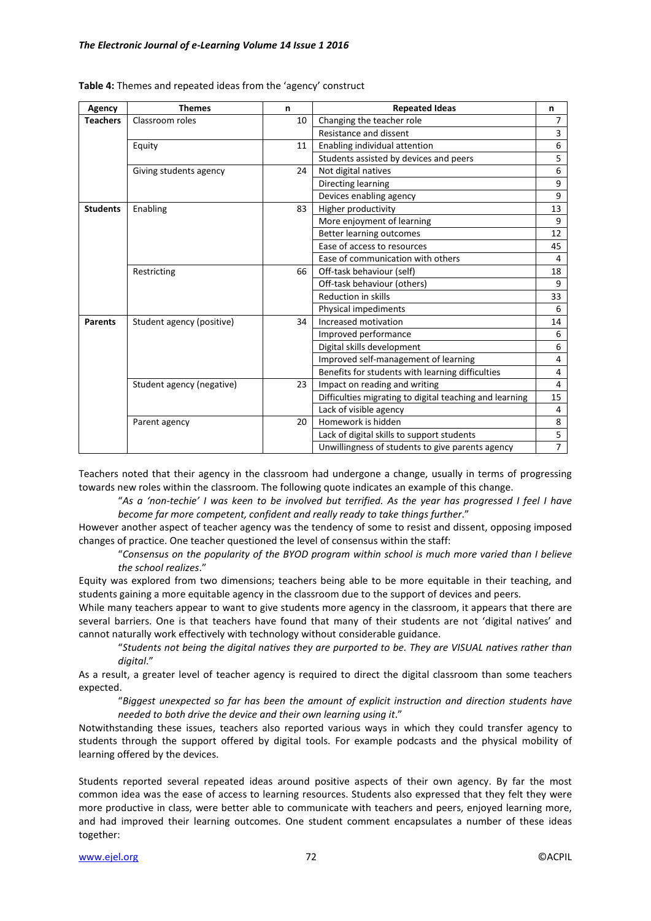| Agency          | <b>Themes</b>             | n  | <b>Repeated Ideas</b>                                   | n              |
|-----------------|---------------------------|----|---------------------------------------------------------|----------------|
| <b>Teachers</b> | Classroom roles           | 10 | Changing the teacher role                               | 7              |
|                 |                           |    | Resistance and dissent                                  | 3              |
|                 | Equity                    | 11 | Enabling individual attention                           | 6              |
|                 |                           |    | Students assisted by devices and peers                  | 5              |
|                 | Giving students agency    | 24 | Not digital natives                                     | 6              |
|                 |                           |    | Directing learning                                      | 9              |
|                 |                           |    | Devices enabling agency                                 | 9              |
| <b>Students</b> | Enabling                  | 83 | Higher productivity                                     | 13             |
|                 |                           |    | More enjoyment of learning                              | 9              |
|                 |                           |    | Better learning outcomes                                | 12             |
|                 |                           |    | Ease of access to resources                             | 45             |
|                 |                           |    | Ease of communication with others                       | 4              |
| Restricting     |                           | 66 | Off-task behaviour (self)                               | 18             |
|                 |                           |    | Off-task behaviour (others)                             | 9              |
|                 |                           |    | <b>Reduction in skills</b>                              | 33             |
|                 |                           |    | Physical impediments                                    | 6              |
| <b>Parents</b>  | Student agency (positive) | 34 | Increased motivation                                    | 14             |
|                 |                           |    | Improved performance                                    | 6              |
|                 |                           |    | Digital skills development                              | 6              |
|                 |                           |    | Improved self-management of learning                    | 4              |
|                 |                           |    | Benefits for students with learning difficulties        | 4              |
|                 | Student agency (negative) | 23 | Impact on reading and writing                           | 4              |
|                 |                           |    | Difficulties migrating to digital teaching and learning | 15             |
|                 |                           |    | Lack of visible agency                                  | 4              |
|                 | Parent agency             | 20 | Homework is hidden                                      | 8              |
|                 |                           |    | Lack of digital skills to support students              |                |
|                 |                           |    | Unwillingness of students to give parents agency        | $\overline{7}$ |

**Table 4:** Themes and repeated ideas from the 'agency' construct

Teachers noted that their agency in the classroom had undergone a change, usually in terms of progressing towards new roles within the classroom. The following quote indicates an example of this change.

"*As a 'non-techie' I was keen to be involved but terrified. As the year has progressed I feel I have become far more competent, confident and really ready to take things further*."

However another aspect of teacher agency was the tendency of some to resist and dissent, opposing imposed changes of practice. One teacher questioned the level of consensus within the staff:

"*Consensus on the popularity of the BYOD program within school is much more varied than I believe the school realizes*."

Equity was explored from two dimensions; teachers being able to be more equitable in their teaching, and students gaining a more equitable agency in the classroom due to the support of devices and peers.

While many teachers appear to want to give students more agency in the classroom, it appears that there are several barriers. One is that teachers have found that many of their students are not 'digital natives' and cannot naturally work effectively with technology without considerable guidance.

"*Students not being the digital natives they are purported to be. They are VISUAL natives rather than digital*."

As a result, a greater level of teacher agency is required to direct the digital classroom than some teachers expected.

"*Biggest unexpected so far has been the amount of explicit instruction and direction students have needed to both drive the device and their own learning using it*."

Notwithstanding these issues, teachers also reported various ways in which they could transfer agency to students through the support offered by digital tools. For example podcasts and the physical mobility of learning offered by the devices.

Students reported several repeated ideas around positive aspects of their own agency. By far the most common idea was the ease of access to learning resources. Students also expressed that they felt they were more productive in class, were better able to communicate with teachers and peers, enjoyed learning more, and had improved their learning outcomes. One student comment encapsulates a number of these ideas together: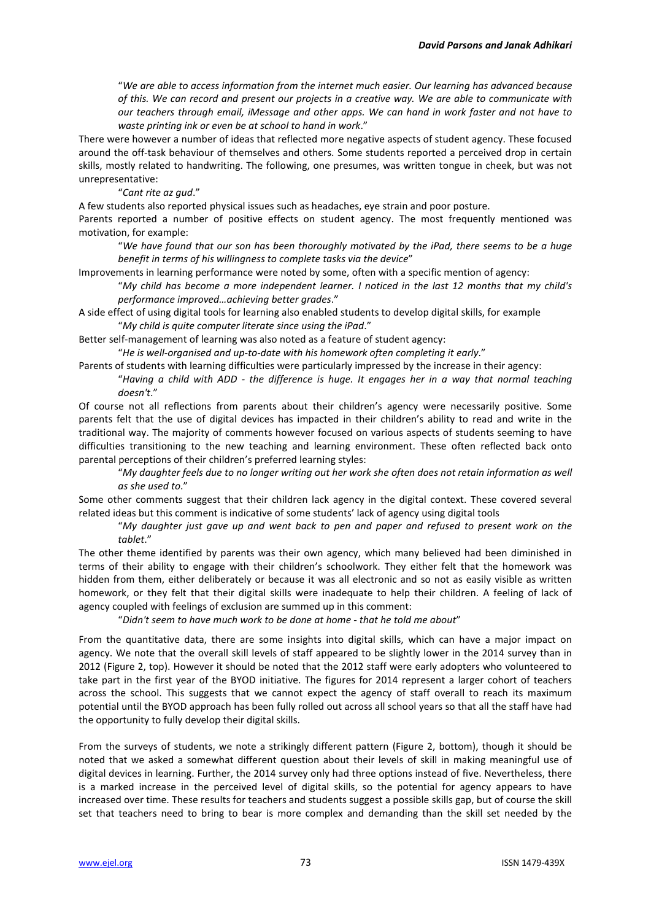"*We are able to access information from the internet much easier. Our learning has advanced because of this. We can record and present our projects in a creative way. We are able to communicate with our teachers through email, iMessage and other apps. We can hand in work faster and not have to waste printing ink or even be at school to hand in work*."

There were however a number of ideas that reflected more negative aspects of student agency. These focused around the off-task behaviour of themselves and others. Some students reported a perceived drop in certain skills, mostly related to handwriting. The following, one presumes, was written tongue in cheek, but was not unrepresentative:

"*Cant rite az gud*."

A few students also reported physical issues such as headaches, eye strain and poor posture.

Parents reported a number of positive effects on student agency. The most frequently mentioned was motivation, for example:

"*We have found that our son has been thoroughly motivated by the iPad, there seems to be a huge benefit in terms of his willingness to complete tasks via the device*"

Improvements in learning performance were noted by some, often with a specific mention of agency:

"*My child has become a more independent learner. I noticed in the last 12 months that my child's performance improved…achieving better grades*."

A side effect of using digital tools for learning also enabled students to develop digital skills, for example "*My child is quite computer literate since using the iPad*."

Better self-management of learning was also noted as a feature of student agency:

"*He is well-organised and up-to-date with his homework often completing it early*."

Parents of students with learning difficulties were particularly impressed by the increase in their agency:

"*Having a child with ADD - the difference is huge. It engages her in a way that normal teaching doesn't*."

Of course not all reflections from parents about their children's agency were necessarily positive. Some parents felt that the use of digital devices has impacted in their children's ability to read and write in the traditional way. The majority of comments however focused on various aspects of students seeming to have difficulties transitioning to the new teaching and learning environment. These often reflected back onto parental perceptions of their children's preferred learning styles:

"*My daughter feels due to no longer writing out her work she often does not retain information as well as she used to*."

Some other comments suggest that their children lack agency in the digital context. These covered several related ideas but this comment is indicative of some students' lack of agency using digital tools

"*My daughter just gave up and went back to pen and paper and refused to present work on the tablet*."

The other theme identified by parents was their own agency, which many believed had been diminished in terms of their ability to engage with their children's schoolwork. They either felt that the homework was hidden from them, either deliberately or because it was all electronic and so not as easily visible as written homework, or they felt that their digital skills were inadequate to help their children. A feeling of lack of agency coupled with feelings of exclusion are summed up in this comment:

"*Didn't seem to have much work to be done at home - that he told me about*"

From the quantitative data, there are some insights into digital skills, which can have a major impact on agency. We note that the overall skill levels of staff appeared to be slightly lower in the 2014 survey than in 2012 (Figure 2, top). However it should be noted that the 2012 staff were early adopters who volunteered to take part in the first year of the BYOD initiative. The figures for 2014 represent a larger cohort of teachers across the school. This suggests that we cannot expect the agency of staff overall to reach its maximum potential until the BYOD approach has been fully rolled out across all school years so that all the staff have had the opportunity to fully develop their digital skills.

From the surveys of students, we note a strikingly different pattern (Figure 2, bottom), though it should be noted that we asked a somewhat different question about their levels of skill in making meaningful use of digital devices in learning. Further, the 2014 survey only had three options instead of five. Nevertheless, there is a marked increase in the perceived level of digital skills, so the potential for agency appears to have increased over time. These results for teachers and students suggest a possible skills gap, but of course the skill set that teachers need to bring to bear is more complex and demanding than the skill set needed by the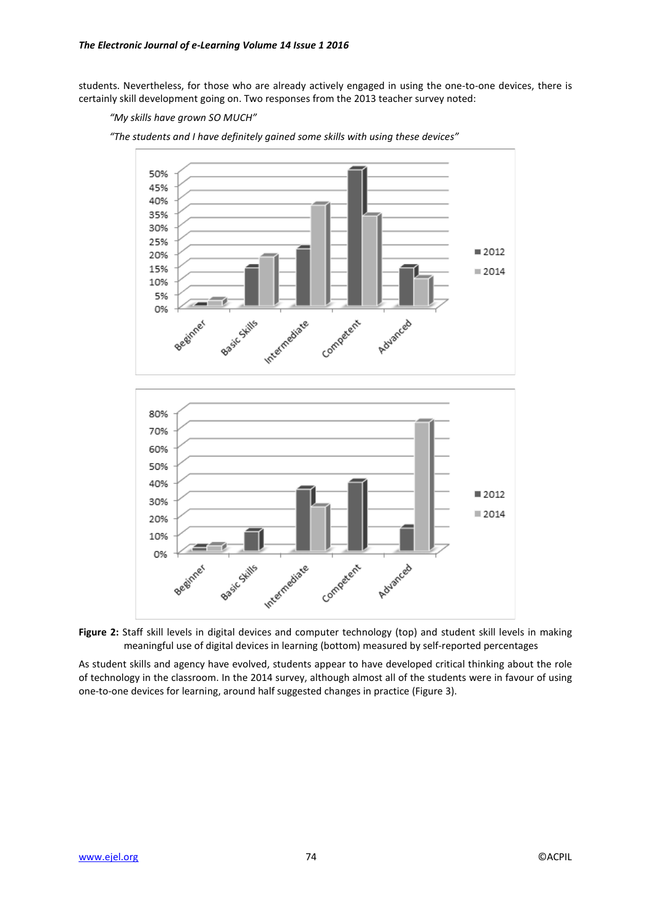students. Nevertheless, for those who are already actively engaged in using the one-to-one devices, there is certainly skill development going on. Two responses from the 2013 teacher survey noted:

#### *"My skills have grown SO MUCH"*







As student skills and agency have evolved, students appear to have developed critical thinking about the role of technology in the classroom. In the 2014 survey, although almost all of the students were in favour of using one-to-one devices for learning, around half suggested changes in practice (Figure 3).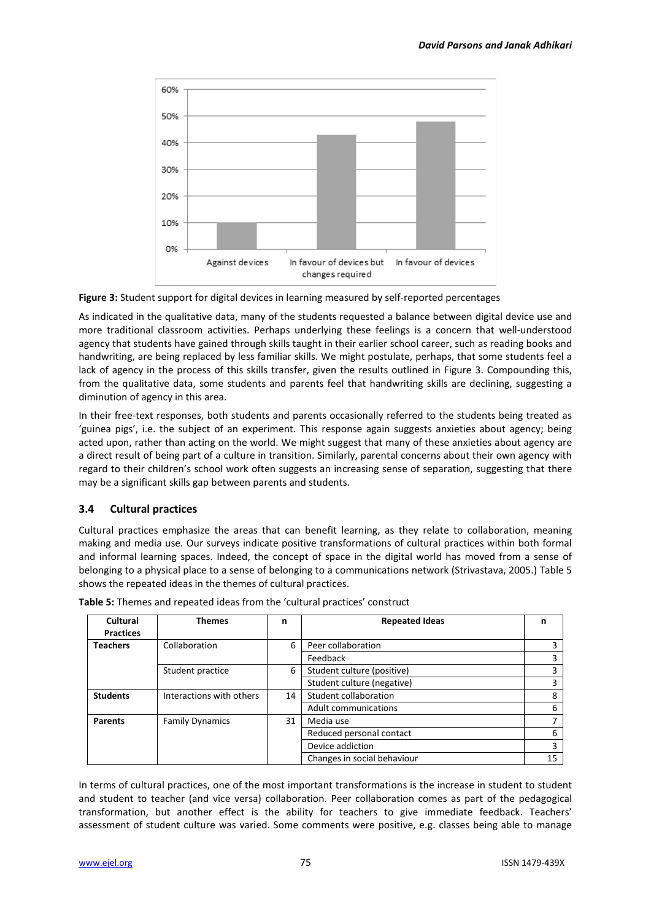

**Figure 3:** Student support for digital devices in learning measured by self-reported percentages

As indicated in the qualitative data, many of the students requested a balance between digital device use and more traditional classroom activities. Perhaps underlying these feelings is a concern that well-understood agency that students have gained through skills taught in their earlier school career, such as reading books and handwriting, are being replaced by less familiar skills. We might postulate, perhaps, that some students feel a lack of agency in the process of this skills transfer, given the results outlined in Figure 3. Compounding this, from the qualitative data, some students and parents feel that handwriting skills are declining, suggesting a diminution of agency in this area.

In their free-text responses, both students and parents occasionally referred to the students being treated as 'guinea pigs', i.e. the subject of an experiment. This response again suggests anxieties about agency; being acted upon, rather than acting on the world. We might suggest that many of these anxieties about agency are a direct result of being part of a culture in transition. Similarly, parental concerns about their own agency with regard to their children's school work often suggests an increasing sense of separation, suggesting that there may be a significant skills gap between parents and students.

# **3.4 Cultural practices**

Cultural practices emphasize the areas that can benefit learning, as they relate to collaboration, meaning making and media use. Our surveys indicate positive transformations of cultural practices within both formal and informal learning spaces. Indeed, the concept of space in the digital world has moved from a sense of belonging to a physical place to a sense of belonging to a communications network (Strivastava, 2005.) Table 5 shows the repeated ideas in the themes of cultural practices.

| Cultural<br><b>Practices</b> | <b>Themes</b>            | n  | <b>Repeated Ideas</b>       | n  |
|------------------------------|--------------------------|----|-----------------------------|----|
| <b>Teachers</b>              | Collaboration            | 6  | Peer collaboration          |    |
|                              |                          |    | Feedback                    |    |
|                              | Student practice         | 6  | Student culture (positive)  |    |
|                              |                          |    | Student culture (negative)  |    |
| <b>Students</b>              | Interactions with others | 14 | Student collaboration       | 8  |
|                              |                          |    | Adult communications        | 6  |
| <b>Parents</b>               | <b>Family Dynamics</b>   | 31 | Media use                   |    |
|                              |                          |    | Reduced personal contact    | 6  |
|                              |                          |    | Device addiction            | 3  |
|                              |                          |    | Changes in social behaviour | 15 |

| Table 5: Themes and repeated ideas from the 'cultural practices' construct |  |  |  |
|----------------------------------------------------------------------------|--|--|--|
|                                                                            |  |  |  |

In terms of cultural practices, one of the most important transformations is the increase in student to student and student to teacher (and vice versa) collaboration. Peer collaboration comes as part of the pedagogical transformation, but another effect is the ability for teachers to give immediate feedback. Teachers' assessment of student culture was varied. Some comments were positive, e.g. classes being able to manage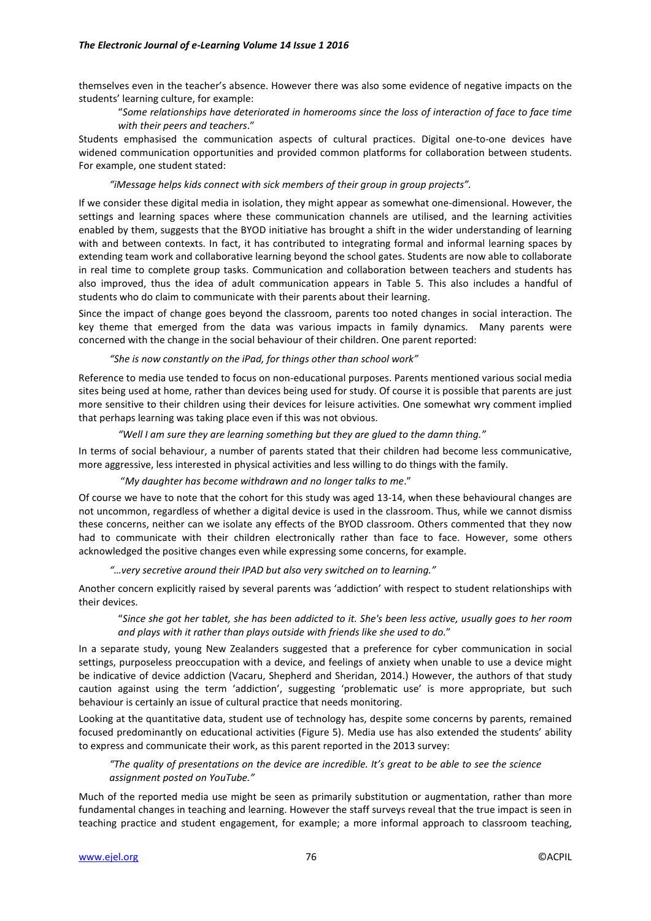themselves even in the teacher's absence. However there was also some evidence of negative impacts on the students' learning culture, for example:

## "*Some relationships have deteriorated in homerooms since the loss of interaction of face to face time with their peers and teachers*."

Students emphasised the communication aspects of cultural practices. Digital one-to-one devices have widened communication opportunities and provided common platforms for collaboration between students. For example, one student stated:

## *"iMessage helps kids connect with sick members of their group in group projects".*

If we consider these digital media in isolation, they might appear as somewhat one-dimensional. However, the settings and learning spaces where these communication channels are utilised, and the learning activities enabled by them, suggests that the BYOD initiative has brought a shift in the wider understanding of learning with and between contexts. In fact, it has contributed to integrating formal and informal learning spaces by extending team work and collaborative learning beyond the school gates. Students are now able to collaborate in real time to complete group tasks. Communication and collaboration between teachers and students has also improved, thus the idea of adult communication appears in Table 5. This also includes a handful of students who do claim to communicate with their parents about their learning.

Since the impact of change goes beyond the classroom, parents too noted changes in social interaction. The key theme that emerged from the data was various impacts in family dynamics. Many parents were concerned with the change in the social behaviour of their children. One parent reported:

#### *"She is now constantly on the iPad, for things other than school work"*

Reference to media use tended to focus on non-educational purposes. Parents mentioned various social media sites being used at home, rather than devices being used for study. Of course it is possible that parents are just more sensitive to their children using their devices for leisure activities. One somewhat wry comment implied that perhaps learning was taking place even if this was not obvious.

#### *"Well I am sure they are learning something but they are glued to the damn thing."*

In terms of social behaviour, a number of parents stated that their children had become less communicative, more aggressive, less interested in physical activities and less willing to do things with the family.

## "*My daughter has become withdrawn and no longer talks to me*."

Of course we have to note that the cohort for this study was aged 13-14, when these behavioural changes are not uncommon, regardless of whether a digital device is used in the classroom. Thus, while we cannot dismiss these concerns, neither can we isolate any effects of the BYOD classroom. Others commented that they now had to communicate with their children electronically rather than face to face. However, some others acknowledged the positive changes even while expressing some concerns, for example.

## *"…very secretive around their IPAD but also very switched on to learning."*

Another concern explicitly raised by several parents was 'addiction' with respect to student relationships with their devices.

"*Since she got her tablet, she has been addicted to it. She's been less active, usually goes to her room and plays with it rather than plays outside with friends like she used to do.*"

In a separate study, young New Zealanders suggested that a preference for cyber communication in social settings, purposeless preoccupation with a device, and feelings of anxiety when unable to use a device might be indicative of device addiction (Vacaru, Shepherd and Sheridan, 2014.) However, the authors of that study caution against using the term 'addiction', suggesting 'problematic use' is more appropriate, but such behaviour is certainly an issue of cultural practice that needs monitoring.

Looking at the quantitative data, student use of technology has, despite some concerns by parents, remained focused predominantly on educational activities (Figure 5). Media use has also extended the students' ability to express and communicate their work, as this parent reported in the 2013 survey:

# *"The quality of presentations on the device are incredible. It's great to be able to see the science assignment posted on YouTube."*

Much of the reported media use might be seen as primarily substitution or augmentation, rather than more fundamental changes in teaching and learning. However the staff surveys reveal that the true impact is seen in teaching practice and student engagement, for example; a more informal approach to classroom teaching,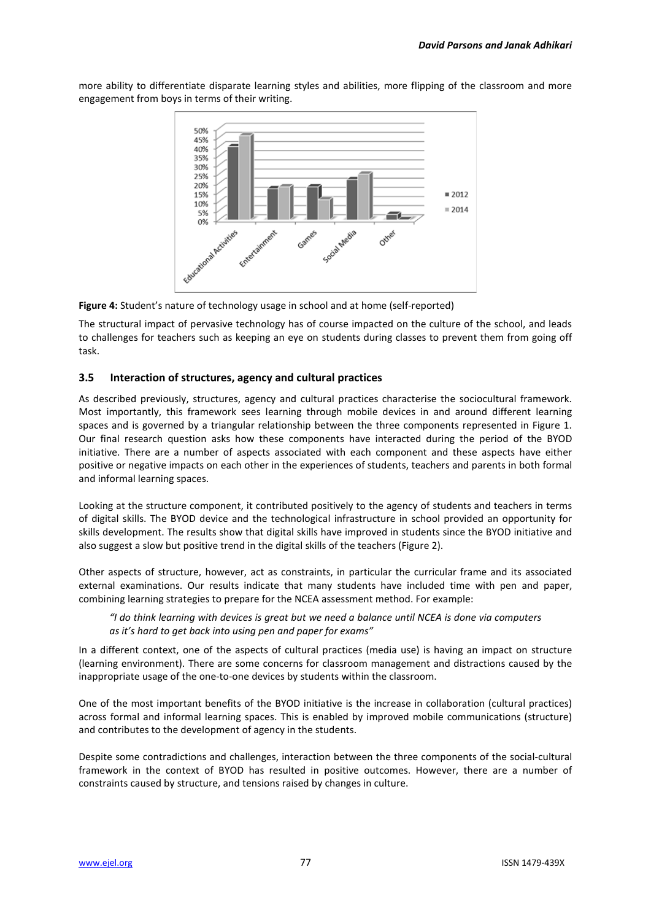more ability to differentiate disparate learning styles and abilities, more flipping of the classroom and more engagement from boys in terms of their writing.



**Figure 4:** Student's nature of technology usage in school and at home (self-reported)

The structural impact of pervasive technology has of course impacted on the culture of the school, and leads to challenges for teachers such as keeping an eye on students during classes to prevent them from going off task.

# **3.5 Interaction of structures, agency and cultural practices**

As described previously, structures, agency and cultural practices characterise the sociocultural framework. Most importantly, this framework sees learning through mobile devices in and around different learning spaces and is governed by a triangular relationship between the three components represented in Figure 1. Our final research question asks how these components have interacted during the period of the BYOD initiative. There are a number of aspects associated with each component and these aspects have either positive or negative impacts on each other in the experiences of students, teachers and parents in both formal and informal learning spaces.

Looking at the structure component, it contributed positively to the agency of students and teachers in terms of digital skills. The BYOD device and the technological infrastructure in school provided an opportunity for skills development. The results show that digital skills have improved in students since the BYOD initiative and also suggest a slow but positive trend in the digital skills of the teachers (Figure 2).

Other aspects of structure, however, act as constraints, in particular the curricular frame and its associated external examinations. Our results indicate that many students have included time with pen and paper, combining learning strategies to prepare for the NCEA assessment method. For example:

*"I do think learning with devices is great but we need a balance until NCEA is done via computers as it's hard to get back into using pen and paper for exams"*

In a different context, one of the aspects of cultural practices (media use) is having an impact on structure (learning environment). There are some concerns for classroom management and distractions caused by the inappropriate usage of the one-to-one devices by students within the classroom.

One of the most important benefits of the BYOD initiative is the increase in collaboration (cultural practices) across formal and informal learning spaces. This is enabled by improved mobile communications (structure) and contributes to the development of agency in the students.

Despite some contradictions and challenges, interaction between the three components of the social-cultural framework in the context of BYOD has resulted in positive outcomes. However, there are a number of constraints caused by structure, and tensions raised by changes in culture.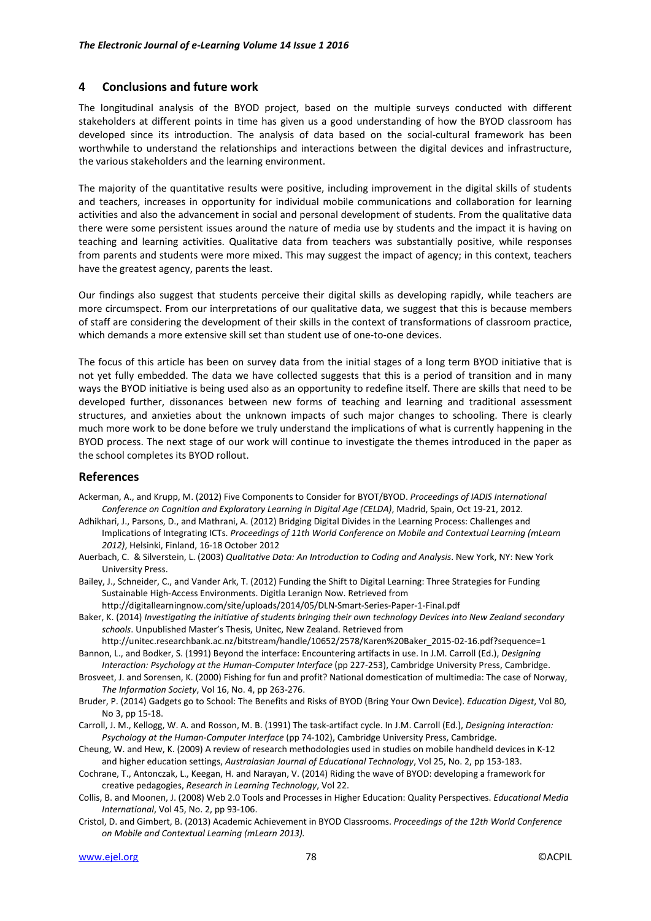## **4 Conclusions and future work**

The longitudinal analysis of the BYOD project, based on the multiple surveys conducted with different stakeholders at different points in time has given us a good understanding of how the BYOD classroom has developed since its introduction. The analysis of data based on the social-cultural framework has been worthwhile to understand the relationships and interactions between the digital devices and infrastructure, the various stakeholders and the learning environment.

The majority of the quantitative results were positive, including improvement in the digital skills of students and teachers, increases in opportunity for individual mobile communications and collaboration for learning activities and also the advancement in social and personal development of students. From the qualitative data there were some persistent issues around the nature of media use by students and the impact it is having on teaching and learning activities. Qualitative data from teachers was substantially positive, while responses from parents and students were more mixed. This may suggest the impact of agency; in this context, teachers have the greatest agency, parents the least.

Our findings also suggest that students perceive their digital skills as developing rapidly, while teachers are more circumspect. From our interpretations of our qualitative data, we suggest that this is because members of staff are considering the development of their skills in the context of transformations of classroom practice, which demands a more extensive skill set than student use of one-to-one devices.

The focus of this article has been on survey data from the initial stages of a long term BYOD initiative that is not yet fully embedded. The data we have collected suggests that this is a period of transition and in many ways the BYOD initiative is being used also as an opportunity to redefine itself. There are skills that need to be developed further, dissonances between new forms of teaching and learning and traditional assessment structures, and anxieties about the unknown impacts of such major changes to schooling. There is clearly much more work to be done before we truly understand the implications of what is currently happening in the BYOD process. The next stage of our work will continue to investigate the themes introduced in the paper as the school completes its BYOD rollout.

# **References**

- Ackerman, A., and Krupp, M. (2012) Five Components to Consider for BYOT/BYOD. *Proceedings of IADIS International Conference on Cognition and Exploratory Learning in Digital Age (CELDA)*, Madrid, Spain, Oct 19-21, 2012.
- Adhikhari, J., Parsons, D., and Mathrani, A. (2012) Bridging Digital Divides in the Learning Process: Challenges and Implications of Integrating ICTs. *Proceedings of 11th World Conference on Mobile and Contextual Learning (mLearn 2012)*, Helsinki, Finland, 16-18 October 2012
- Auerbach, C. & Silverstein, L. (2003) *Qualitative Data: An Introduction to Coding and Analysis*. New York, NY: New York University Press.
- Bailey, J., Schneider, C., and Vander Ark, T. (2012) Funding the Shift to Digital Learning: Three Strategies for Funding Sustainable High-Access Environments. Digitla Leranign Now. Retrieved from
	- http://digitallearningnow.com/site/uploads/2014/05/DLN-Smart-Series-Paper-1-Final.pdf
- Baker, K. (2014) *Investigating the initiative of students bringing their own technology Devices into New Zealand secondary schools*. Unpublished Master's Thesis, Unitec, New Zealand. Retrieved from

http://unitec.researchbank.ac.nz/bitstream/handle/10652/2578/Karen%20Baker\_2015-02-16.pdf?sequence=1 Bannon, L., and Bodker, S. (1991) Beyond the interface: Encountering artifacts in use. In J.M. Carroll (Ed.), *Designing* 

- *Interaction: Psychology at the Human-Computer Interface* (pp 227-253), Cambridge University Press, Cambridge.
- Brosveet, J. and Sorensen, K. (2000) Fishing for fun and profit? National domestication of multimedia: The case of Norway, *The Information Society*, Vol 16, No. 4, pp 263-276.
- Bruder, P. (2014) Gadgets go to School: The Benefits and Risks of BYOD (Bring Your Own Device). *Education Digest*, Vol 80, No 3, pp 15-18.
- Carroll, J. M., Kellogg, W. A. and Rosson, M. B. (1991) The task-artifact cycle. In J.M. Carroll (Ed.), *Designing Interaction: Psychology at the Human-Computer Interface* (pp 74-102), Cambridge University Press, Cambridge.
- Cheung, W. and Hew, K. (2009) A review of research methodologies used in studies on mobile handheld devices in K-12 and higher education settings, *Australasian Journal of Educational Technology*, Vol 25, No. 2, pp 153-183.

Cochrane, T., Antonczak, L., Keegan, H. and Narayan, V. (2014) Riding the wave of BYOD: developing a framework for creative pedagogies, *Research in Learning Technology*, Vol 22.

- Collis, B. and Moonen, J. (2008) Web 2.0 Tools and Processes in Higher Education: Quality Perspectives. *Educational Media International*, Vol 45, No. 2, pp 93-106.
- Cristol, D. and Gimbert, B. (2013) Academic Achievement in BYOD Classrooms. *Proceedings of the 12th World Conference on Mobile and Contextual Learning (mLearn 2013).*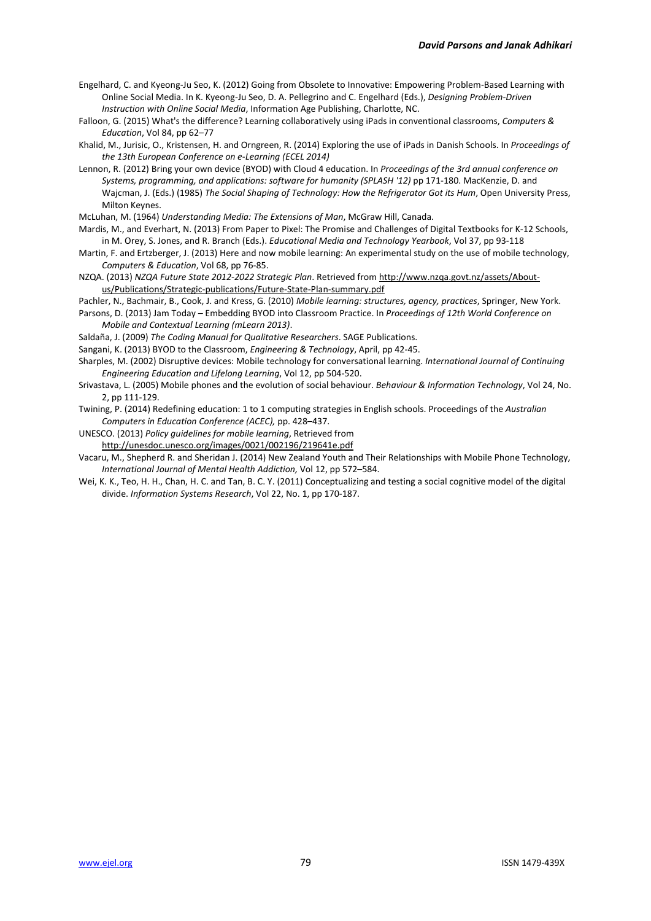- Engelhard, C. and Kyeong-Ju Seo, K. (2012) Going from Obsolete to Innovative: Empowering Problem-Based Learning with Online Social Media. In K. Kyeong-Ju Seo, D. A. Pellegrino and C. Engelhard (Eds.), *Designing Problem-Driven Instruction with Online Social Media*, Information Age Publishing, Charlotte, NC.
- Falloon, G. (2015) What's the difference? Learning collaboratively using iPads in conventional classrooms, *Computers & Education*, Vol 84, pp 62–77
- Khalid, M., Jurisic, O., Kristensen, H. and Orngreen, R. (2014) Exploring the use of iPads in Danish Schools. In *Proceedings of the 13th European Conference on e-Learning (ECEL 2014)*
- Lennon, R. (2012) Bring your own device (BYOD) with Cloud 4 education. In *Proceedings of the 3rd annual conference on Systems, programming, and applications: software for humanity (SPLASH '12)* pp 171-180. MacKenzie, D. and Wajcman, J. (Eds.) (1985) *The Social Shaping of Technology: How the Refrigerator Got its Hum*, Open University Press, Milton Keynes.
- McLuhan, M. (1964) *Understanding Media: The Extensions of Man*, McGraw Hill, Canada.
- Mardis, M., and Everhart, N. (2013) From Paper to Pixel: The Promise and Challenges of Digital Textbooks for K-12 Schools, in M. Orey, S. Jones, and R. Branch (Eds.). *Educational Media and Technology Yearbook*, Vol 37, pp 93-118
- Martin, F. and Ertzberger, J. (2013) Here and now mobile learning: An experimental study on the use of mobile technology, *Computers & Education*, Vol 68, pp 76-85.
- NZQA. (2013) *NZQA Future State 2012-2022 Strategic Plan*. Retrieved from http://www.nzqa.govt.nz/assets/Aboutus/Publications/Strategic-publications/Future-State-Plan-summary.pdf
- Pachler, N., Bachmair, B., Cook, J. and Kress, G. (2010) *Mobile learning: structures, agency, practices*, Springer, New York.
- Parsons, D. (2013) Jam Today Embedding BYOD into Classroom Practice. In *Proceedings of 12th World Conference on Mobile and Contextual Learning (mLearn 2013)*.
- Saldaña, J. (2009) *The Coding Manual for Qualitative Researchers*. SAGE Publications.
- Sangani, K. (2013) BYOD to the Classroom, *Engineering & Technology*, April, pp 42-45.
- Sharples, M. (2002) Disruptive devices: Mobile technology for conversational learning. *International Journal of Continuing Engineering Education and Lifelong Learning*, Vol 12, pp 504-520.
- Srivastava, L. (2005) Mobile phones and the evolution of social behaviour. *Behaviour & Information Technology*, Vol 24, No. 2, pp 111-129.
- Twining, P. (2014) Redefining education: 1 to 1 computing strategies in English schools. Proceedings of the *Australian Computers in Education Conference (ACEC),* pp. 428–437.
- UNESCO. (2013) *Policy guidelines for mobile learning*, Retrieved from http://unesdoc.unesco.org/images/0021/002196/219641e.pdf
- Vacaru, M., Shepherd R. and Sheridan J. (2014) New Zealand Youth and Their Relationships with Mobile Phone Technology, *International Journal of Mental Health Addiction,* Vol 12, pp 572–584.
- Wei, K. K., Teo, H. H., Chan, H. C. and Tan, B. C. Y. (2011) Conceptualizing and testing a social cognitive model of the digital divide. *Information Systems Research*, Vol 22, No. 1, pp 170-187.